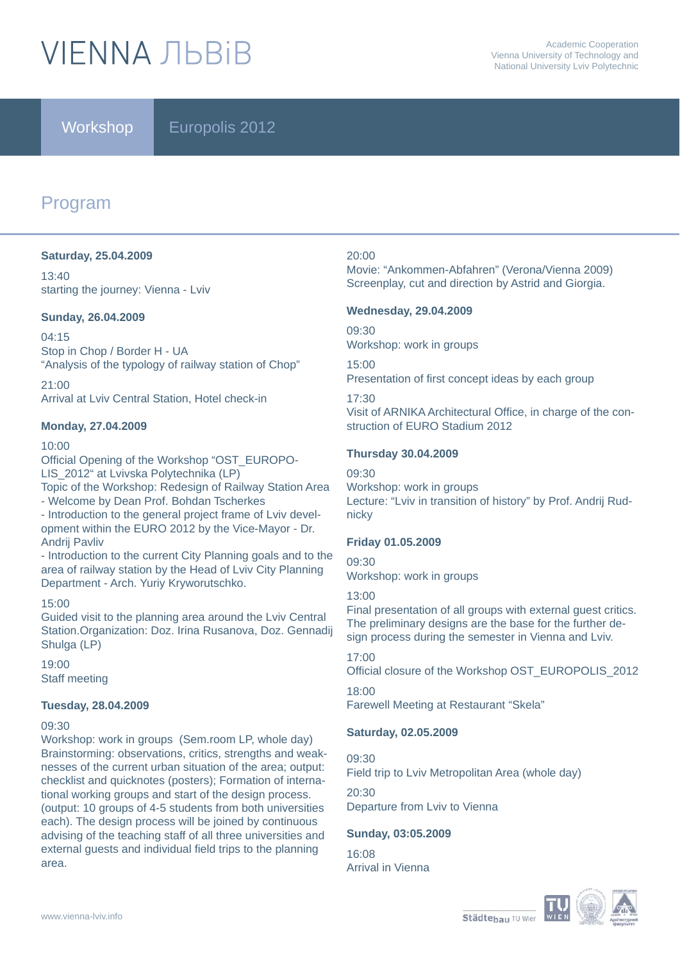# **VIFNNA JIBRIB**

Workshop **Europolis** 2012

## Program

#### **Saturday, 25.04.2009**

13:40 starting the journey: Vienna - Lviv

#### **Sunday, 26.04.2009**

04:15 Stop in Chop / Border H - UA "Analysis of the typology of railway station of Chop"

 $21:00$ Arrival at Lviv Central Station, Hotel check-in

#### **Monday, 27.04.2009**

#### 10:00

Official Opening of the Workshop "OST\_EUROPO-LIS\_2012" at Lvivska Polytechnika (LP) Topic of the Workshop: Redesign of Railway Station Area

- Welcome by Dean Prof. Bohdan Tscherkes

- Introduction to the general project frame of Lviv development within the EURO 2012 by the Vice-Mayor - Dr. Andrij Pavliv

- Introduction to the current City Planning goals and to the area of railway station by the Head of Lviv City Planning Department - Arch. Yuriy Kryworutschko.

#### 15:00

Guided visit to the planning area around the Lviv Central Station.Organization: Doz. Irina Rusanova, Doz. Gennadij Shulga (LP)

 $19:00$ Staff meeting

#### **Tuesday, 28.04.2009**

#### 09:30

Workshop: work in groups (Sem.room LP, whole day) Brainstorming: observations, critics, strengths and weaknesses of the current urban situation of the area; output: checklist and quicknotes (posters); Formation of international working groups and start of the design process. (output: 10 groups of 4-5 students from both universities each). The design process will be joined by continuous advising of the teaching staff of all three universities and external guests and individual field trips to the planning area.

#### 20:00

Movie: "Ankommen-Abfahren" (Verona/Vienna 2009) Screenplay, cut and direction by Astrid and Giorgia.

#### **Wednesday, 29.04.2009**

09:30 Workshop: work in groups

15:00 Presentation of first concept ideas by each group

#### 17:30

Visit of ARNIKA Architectural Office, in charge of the construction of EURO Stadium 2012

#### **Thursday 30.04.2009**

09:30 Workshop: work in groups Lecture: "Lviv in transition of history" by Prof. Andrij Rudnicky

#### **Friday 01.05.2009**

09:30 Workshop: work in groups

#### 13:00

Final presentation of all groups with external guest critics. The preliminary designs are the base for the further design process during the semester in Vienna and Lviv.

#### 17:00

Official closure of the Workshop OST\_EUROPOLIS\_2012

18:00 Farewell Meeting at Restaurant "Skela"

#### **Saturday, 02.05.2009**

09:30 Field trip to Lviv Metropolitan Area (whole day)

 $20.30$ Departure from Lviv to Vienna

#### **Sunday, 03:05.2009**

16:08 Arrival in Vienna